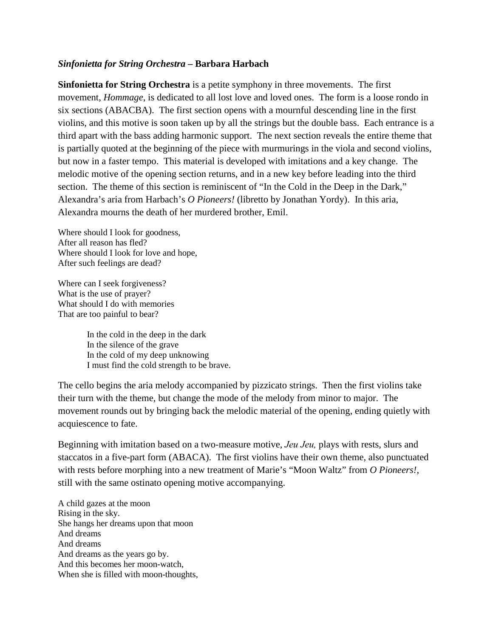## *Sinfonietta for String Orchestra* **– Barbara Harbach**

**Sinfonietta for String Orchestra** is a petite symphony in three movements. The first movement, *Hommage*, is dedicated to all lost love and loved ones. The form is a loose rondo in six sections (ABACBA). The first section opens with a mournful descending line in the first violins, and this motive is soon taken up by all the strings but the double bass. Each entrance is a third apart with the bass adding harmonic support. The next section reveals the entire theme that is partially quoted at the beginning of the piece with murmurings in the viola and second violins, but now in a faster tempo. This material is developed with imitations and a key change. The melodic motive of the opening section returns, and in a new key before leading into the third section. The theme of this section is reminiscent of "In the Cold in the Deep in the Dark," Alexandra's aria from Harbach's *O Pioneers!* (libretto by Jonathan Yordy). In this aria, Alexandra mourns the death of her murdered brother, Emil.

Where should I look for goodness, After all reason has fled? Where should I look for love and hope, After such feelings are dead?

Where can I seek forgiveness? What is the use of prayer? What should I do with memories That are too painful to bear?

> In the cold in the deep in the dark In the silence of the grave In the cold of my deep unknowing I must find the cold strength to be brave.

The cello begins the aria melody accompanied by pizzicato strings. Then the first violins take their turn with the theme, but change the mode of the melody from minor to major. The movement rounds out by bringing back the melodic material of the opening, ending quietly with acquiescence to fate.

Beginning with imitation based on a two-measure motive, *Jeu Jeu,* plays with rests, slurs and staccatos in a five-part form (ABACA). The first violins have their own theme, also punctuated with rests before morphing into a new treatment of Marie's "Moon Waltz" from *O Pioneers!*, still with the same ostinato opening motive accompanying.

A child gazes at the moon Rising in the sky. She hangs her dreams upon that moon And dreams And dreams And dreams as the years go by. And this becomes her moon-watch, When she is filled with moon-thoughts,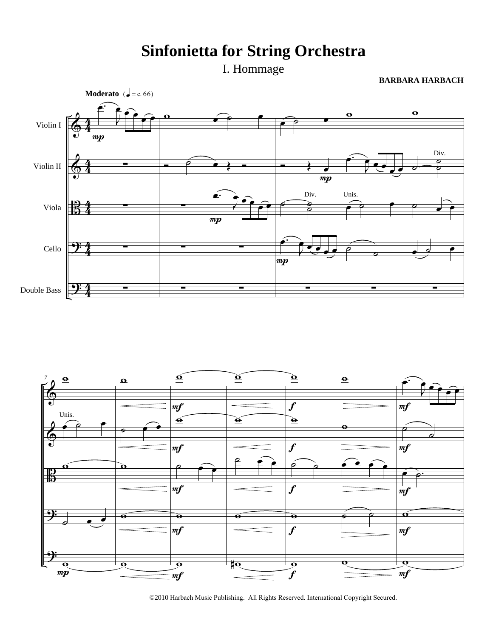## **Sinfonietta for String Orchestra**

I. Hommage

**BARBARA HARBACH**





<sup>©2010</sup> Harbach Music Publishing. All Rights Reserved. International Copyright Secured.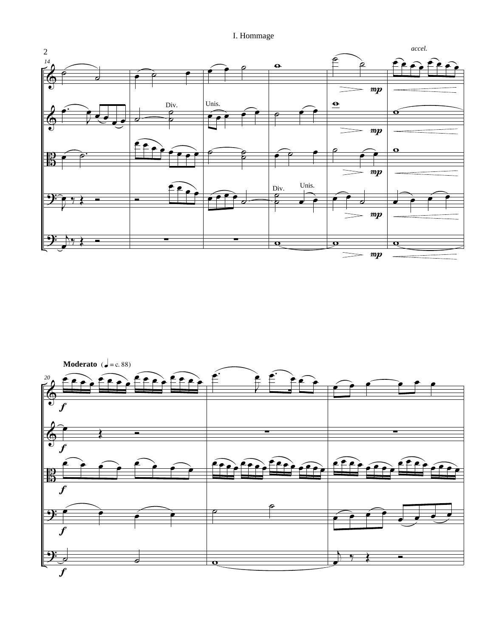I. Hommage



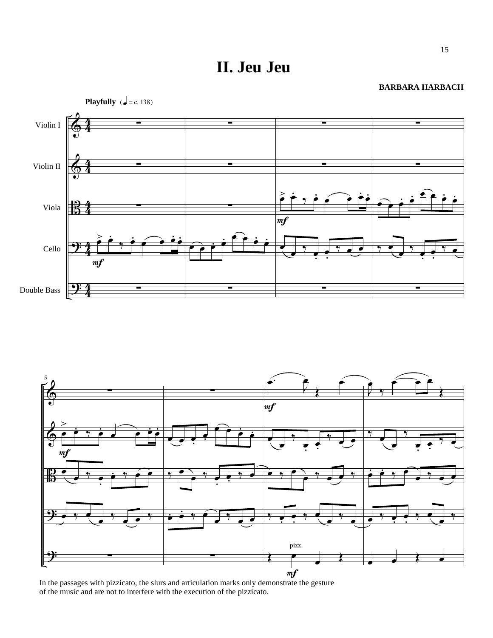**II. Jeu Jeu**

## **BARBARA HARBACH**





In the passages with pizzicato, the slurs and articulation marks only demonstrate the gesture of the music and are not to interfere with the execution of the pizzicato.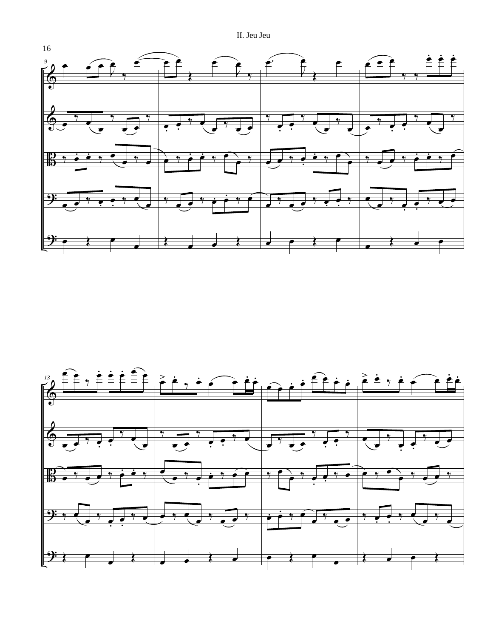II. Jeu Jeu



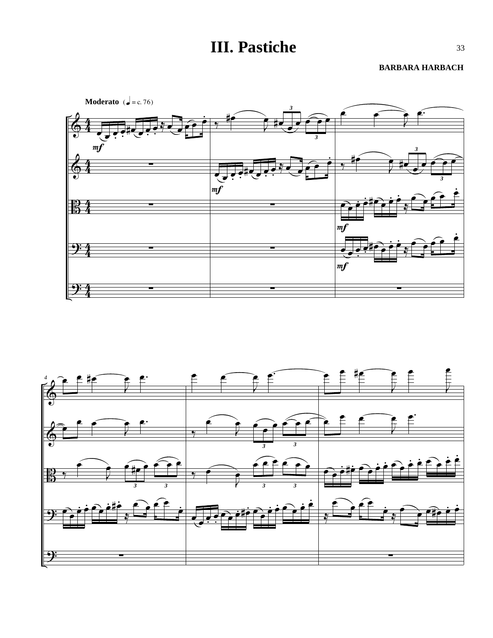## **III. Pastiche**

**BARBARA HARBACH**